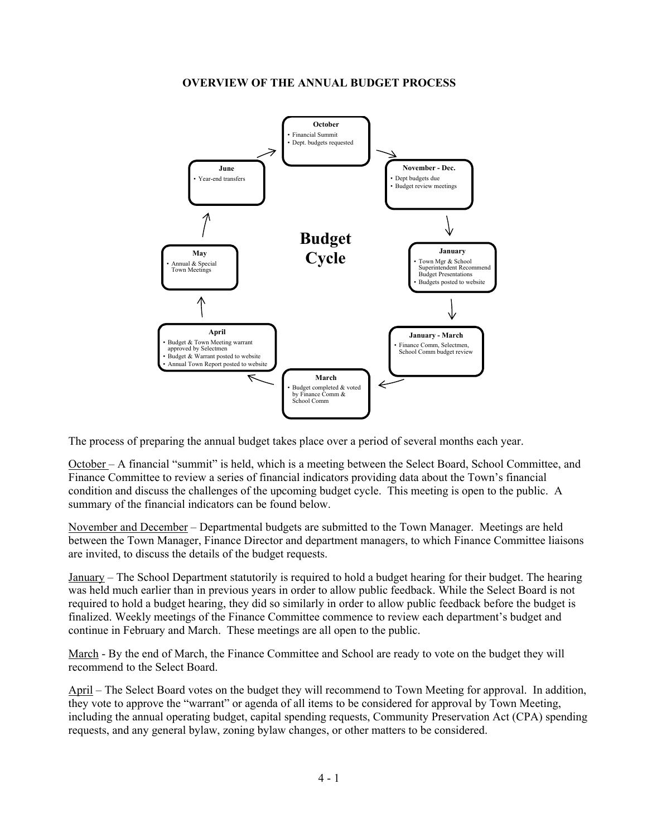#### **OVERVIEW OF THE ANNUAL BUDGET PROCESS**



The process of preparing the annual budget takes place over a period of several months each year.

October – A financial "summit" is held, which is a meeting between the Select Board, School Committee, and Finance Committee to review a series of financial indicators providing data about the Town's financial condition and discuss the challenges of the upcoming budget cycle. This meeting is open to the public. A summary of the financial indicators can be found below.

November and December – Departmental budgets are submitted to the Town Manager. Meetings are held between the Town Manager, Finance Director and department managers, to which Finance Committee liaisons are invited, to discuss the details of the budget requests.

January – The School Department statutorily is required to hold a budget hearing for their budget. The hearing was held much earlier than in previous years in order to allow public feedback. While the Select Board is not required to hold a budget hearing, they did so similarly in order to allow public feedback before the budget is finalized. Weekly meetings of the Finance Committee commence to review each department's budget and continue in February and March. These meetings are all open to the public.

March - By the end of March, the Finance Committee and School are ready to vote on the budget they will recommend to the Select Board.

April – The Select Board votes on the budget they will recommend to Town Meeting for approval. In addition, they vote to approve the "warrant" or agenda of all items to be considered for approval by Town Meeting, including the annual operating budget, capital spending requests, Community Preservation Act (CPA) spending requests, and any general bylaw, zoning bylaw changes, or other matters to be considered.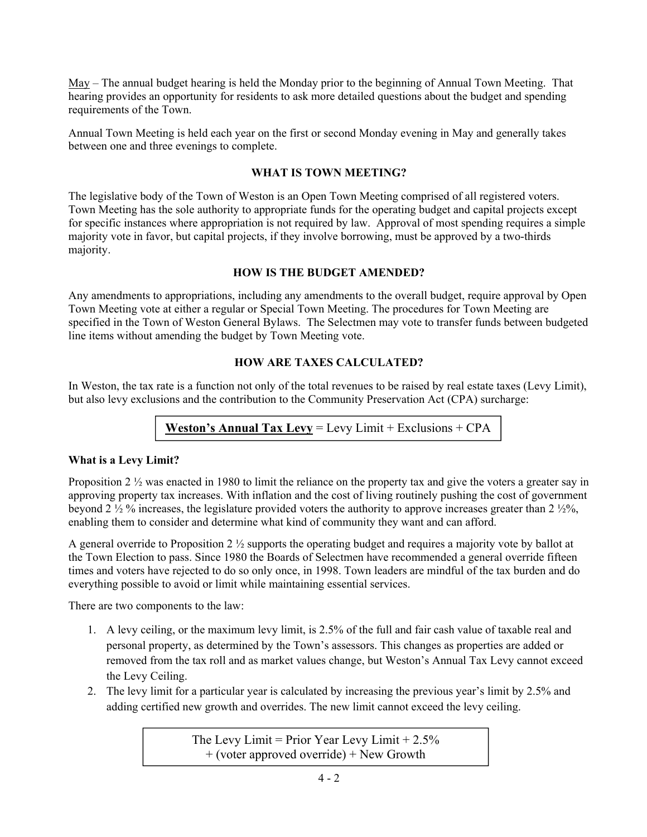May – The annual budget hearing is held the Monday prior to the beginning of Annual Town Meeting. That hearing provides an opportunity for residents to ask more detailed questions about the budget and spending requirements of the Town.

Annual Town Meeting is held each year on the first or second Monday evening in May and generally takes between one and three evenings to complete.

#### **WHAT IS TOWN MEETING?**

The legislative body of the Town of Weston is an Open Town Meeting comprised of all registered voters. Town Meeting has the sole authority to appropriate funds for the operating budget and capital projects except for specific instances where appropriation is not required by law. Approval of most spending requires a simple majority vote in favor, but capital projects, if they involve borrowing, must be approved by a two-thirds majority.

### **HOW IS THE BUDGET AMENDED?**

Any amendments to appropriations, including any amendments to the overall budget, require approval by Open Town Meeting vote at either a regular or Special Town Meeting. The procedures for Town Meeting are specified in the Town of Weston General Bylaws. The Selectmen may vote to transfer funds between budgeted line items without amending the budget by Town Meeting vote.

# **HOW ARE TAXES CALCULATED?**

In Weston, the tax rate is a function not only of the total revenues to be raised by real estate taxes (Levy Limit), but also levy exclusions and the contribution to the Community Preservation Act (CPA) surcharge:

# **Weston's Annual Tax Levy** = Levy Limit + Exclusions + CPA

#### **What is a Levy Limit?**

Proposition 2 <sup>1</sup>/<sub>2</sub> was enacted in 1980 to limit the reliance on the property tax and give the voters a greater say in approving property tax increases. With inflation and the cost of living routinely pushing the cost of government beyond 2 ½ % increases, the legislature provided voters the authority to approve increases greater than 2 ½%, enabling them to consider and determine what kind of community they want and can afford.

A general override to Proposition 2 ½ supports the operating budget and requires a majority vote by ballot at the Town Election to pass. Since 1980 the Boards of Selectmen have recommended a general override fifteen times and voters have rejected to do so only once, in 1998. Town leaders are mindful of the tax burden and do everything possible to avoid or limit while maintaining essential services.

There are two components to the law:

- 1. A levy ceiling, or the maximum levy limit, is 2.5% of the full and fair cash value of taxable real and personal property, as determined by the Town's assessors. This changes as properties are added or removed from the tax roll and as market values change, but Weston's Annual Tax Levy cannot exceed the Levy Ceiling.
- 2. The levy limit for a particular year is calculated by increasing the previous year's limit by 2.5% and adding certified new growth and overrides. The new limit cannot exceed the levy ceiling.

The Levy Limit = Prior Year Levy Limit  $+ 2.5\%$  $+$  (voter approved override)  $+$  New Growth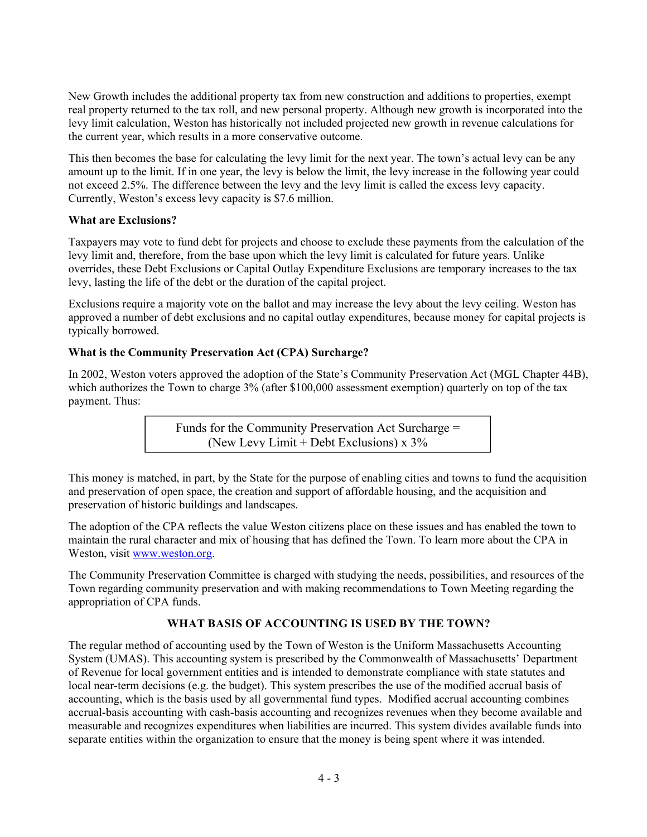New Growth includes the additional property tax from new construction and additions to properties, exempt real property returned to the tax roll, and new personal property. Although new growth is incorporated into the levy limit calculation, Weston has historically not included projected new growth in revenue calculations for the current year, which results in a more conservative outcome.

This then becomes the base for calculating the levy limit for the next year. The town's actual levy can be any amount up to the limit. If in one year, the levy is below the limit, the levy increase in the following year could not exceed 2.5%. The difference between the levy and the levy limit is called the excess levy capacity. Currently, Weston's excess levy capacity is \$7.6 million.

### **What are Exclusions?**

Taxpayers may vote to fund debt for projects and choose to exclude these payments from the calculation of the levy limit and, therefore, from the base upon which the levy limit is calculated for future years. Unlike overrides, these Debt Exclusions or Capital Outlay Expenditure Exclusions are temporary increases to the tax levy, lasting the life of the debt or the duration of the capital project.

Exclusions require a majority vote on the ballot and may increase the levy about the levy ceiling. Weston has approved a number of debt exclusions and no capital outlay expenditures, because money for capital projects is typically borrowed.

### **What is the Community Preservation Act (CPA) Surcharge?**

In 2002, Weston voters approved the adoption of the State's Community Preservation Act (MGL Chapter 44B), which authorizes the Town to charge 3% (after \$100,000 assessment exemption) quarterly on top of the tax payment. Thus:

> Funds for the Community Preservation Act Surcharge = (New Levy Limit + Debt Exclusions)  $x$  3%

This money is matched, in part, by the State for the purpose of enabling cities and towns to fund the acquisition and preservation of open space, the creation and support of affordable housing, and the acquisition and preservation of historic buildings and landscapes.

The adoption of the CPA reflects the value Weston citizens place on these issues and has enabled the town to maintain the rural character and mix of housing that has defined the Town. To learn more about the CPA in Weston, visit www.weston.org.

The Community Preservation Committee is charged with studying the needs, possibilities, and resources of the Town regarding community preservation and with making recommendations to Town Meeting regarding the appropriation of CPA funds.

# **WHAT BASIS OF ACCOUNTING IS USED BY THE TOWN?**

The regular method of accounting used by the Town of Weston is the Uniform Massachusetts Accounting System (UMAS). This accounting system is prescribed by the Commonwealth of Massachusetts' Department of Revenue for local government entities and is intended to demonstrate compliance with state statutes and local near-term decisions (e.g. the budget). This system prescribes the use of the modified accrual basis of accounting, which is the basis used by all governmental fund types. Modified accrual accounting combines accrual-basis accounting with cash-basis accounting and recognizes revenues when they become available and measurable and recognizes expenditures when liabilities are incurred. This system divides available funds into separate entities within the organization to ensure that the money is being spent where it was intended.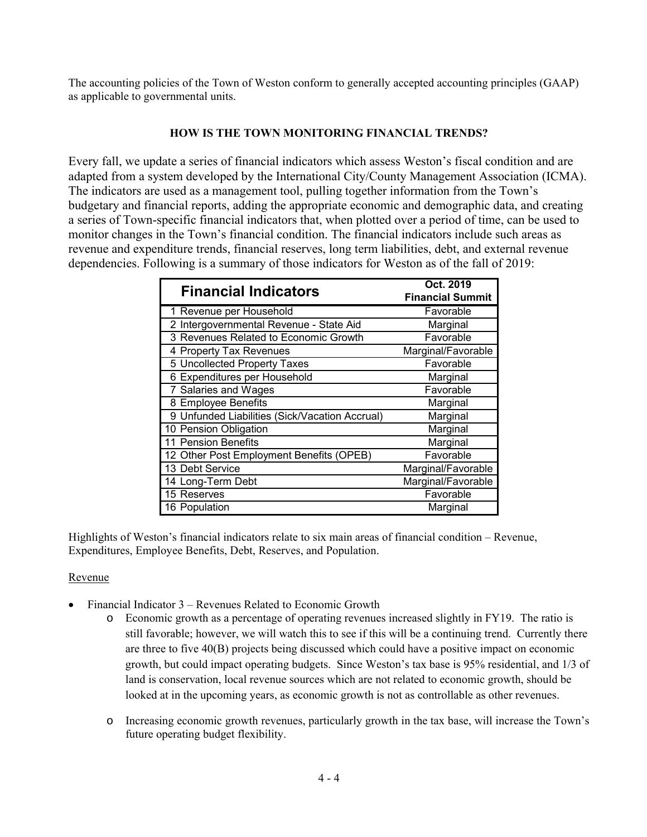The accounting policies of the Town of Weston conform to generally accepted accounting principles (GAAP) as applicable to governmental units.

### **HOW IS THE TOWN MONITORING FINANCIAL TRENDS?**

Every fall, we update a series of financial indicators which assess Weston's fiscal condition and are adapted from a system developed by the International City/County Management Association (ICMA). The indicators are used as a management tool, pulling together information from the Town's budgetary and financial reports, adding the appropriate economic and demographic data, and creating a series of Town-specific financial indicators that, when plotted over a period of time, can be used to monitor changes in the Town's financial condition. The financial indicators include such areas as revenue and expenditure trends, financial reserves, long term liabilities, debt, and external revenue dependencies. Following is a summary of those indicators for Weston as of the fall of 2019:

| <b>Financial Indicators</b>                    | Oct. 2019<br><b>Financial Summit</b> |  |  |
|------------------------------------------------|--------------------------------------|--|--|
| 1 Revenue per Household                        | Favorable                            |  |  |
| 2 Intergovernmental Revenue - State Aid        | Marginal                             |  |  |
| 3 Revenues Related to Economic Growth          | Favorable                            |  |  |
| 4 Property Tax Revenues                        | Marginal/Favorable                   |  |  |
| 5 Uncollected Property Taxes                   | Favorable                            |  |  |
| 6 Expenditures per Household                   | Marginal                             |  |  |
| 7 Salaries and Wages                           | Favorable                            |  |  |
| 8 Employee Benefits                            | Marginal                             |  |  |
| 9 Unfunded Liabilities (Sick/Vacation Accrual) | Marginal                             |  |  |
| 10 Pension Obligation                          | Marginal                             |  |  |
| 11 Pension Benefits                            | Marginal                             |  |  |
| 12 Other Post Employment Benefits (OPEB)       | Favorable                            |  |  |
| 13 Debt Service                                | Marginal/Favorable                   |  |  |
| 14 Long-Term Debt                              | Marginal/Favorable                   |  |  |
| 15 Reserves                                    | Favorable                            |  |  |
| 16 Population                                  | Marginal                             |  |  |

Highlights of Weston's financial indicators relate to six main areas of financial condition – Revenue, Expenditures, Employee Benefits, Debt, Reserves, and Population.

# Revenue

- Financial Indicator 3 Revenues Related to Economic Growth
	- o Economic growth as a percentage of operating revenues increased slightly in FY19. The ratio is still favorable; however, we will watch this to see if this will be a continuing trend. Currently there are three to five 40(B) projects being discussed which could have a positive impact on economic growth, but could impact operating budgets. Since Weston's tax base is 95% residential, and 1/3 of land is conservation, local revenue sources which are not related to economic growth, should be looked at in the upcoming years, as economic growth is not as controllable as other revenues.
	- o Increasing economic growth revenues, particularly growth in the tax base, will increase the Town's future operating budget flexibility.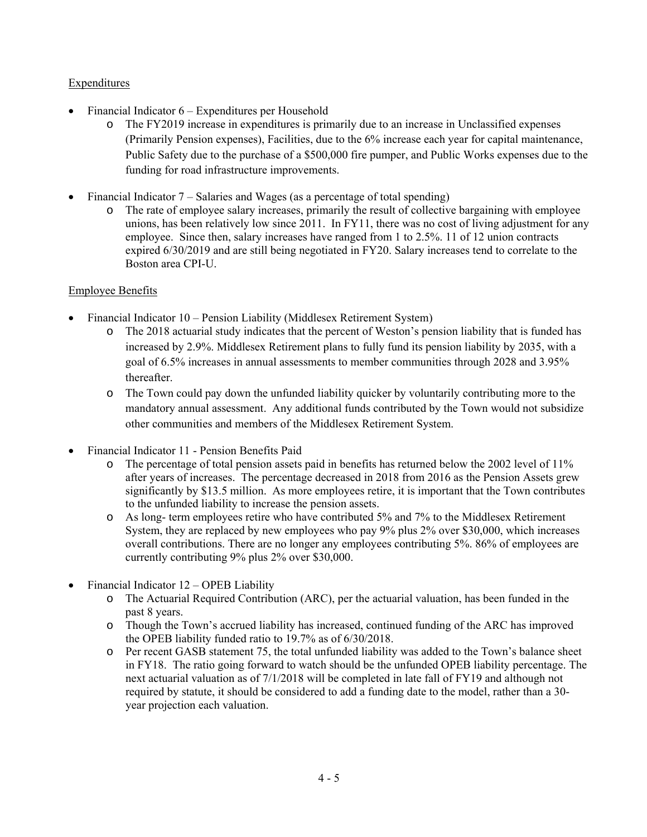# Expenditures

- Financial Indicator 6 Expenditures per Household
	- o The FY2019 increase in expenditures is primarily due to an increase in Unclassified expenses (Primarily Pension expenses), Facilities, due to the 6% increase each year for capital maintenance, Public Safety due to the purchase of a \$500,000 fire pumper, and Public Works expenses due to the funding for road infrastructure improvements.
- Financial Indicator 7 Salaries and Wages (as a percentage of total spending)
	- o The rate of employee salary increases, primarily the result of collective bargaining with employee unions, has been relatively low since 2011. In FY11, there was no cost of living adjustment for any employee. Since then, salary increases have ranged from 1 to 2.5%. 11 of 12 union contracts expired 6/30/2019 and are still being negotiated in FY20. Salary increases tend to correlate to the Boston area CPI-U.

# Employee Benefits

- Financial Indicator 10 Pension Liability (Middlesex Retirement System)
	- o The 2018 actuarial study indicates that the percent of Weston's pension liability that is funded has increased by 2.9%. Middlesex Retirement plans to fully fund its pension liability by 2035, with a goal of 6.5% increases in annual assessments to member communities through 2028 and 3.95% thereafter.
	- o The Town could pay down the unfunded liability quicker by voluntarily contributing more to the mandatory annual assessment. Any additional funds contributed by the Town would not subsidize other communities and members of the Middlesex Retirement System.
- Financial Indicator 11 Pension Benefits Paid
	- o The percentage of total pension assets paid in benefits has returned below the 2002 level of 11% after years of increases. The percentage decreased in 2018 from 2016 as the Pension Assets grew significantly by \$13.5 million. As more employees retire, it is important that the Town contributes to the unfunded liability to increase the pension assets.
	- o As long- term employees retire who have contributed 5% and 7% to the Middlesex Retirement System, they are replaced by new employees who pay 9% plus 2% over \$30,000, which increases overall contributions. There are no longer any employees contributing 5%. 86% of employees are currently contributing 9% plus 2% over \$30,000.
- Financial Indicator 12 OPEB Liability
	- o The Actuarial Required Contribution (ARC), per the actuarial valuation, has been funded in the past 8 years.
	- o Though the Town's accrued liability has increased, continued funding of the ARC has improved the OPEB liability funded ratio to 19.7% as of 6/30/2018.
	- o Per recent GASB statement 75, the total unfunded liability was added to the Town's balance sheet in FY18. The ratio going forward to watch should be the unfunded OPEB liability percentage. The next actuarial valuation as of 7/1/2018 will be completed in late fall of FY19 and although not required by statute, it should be considered to add a funding date to the model, rather than a 30 year projection each valuation.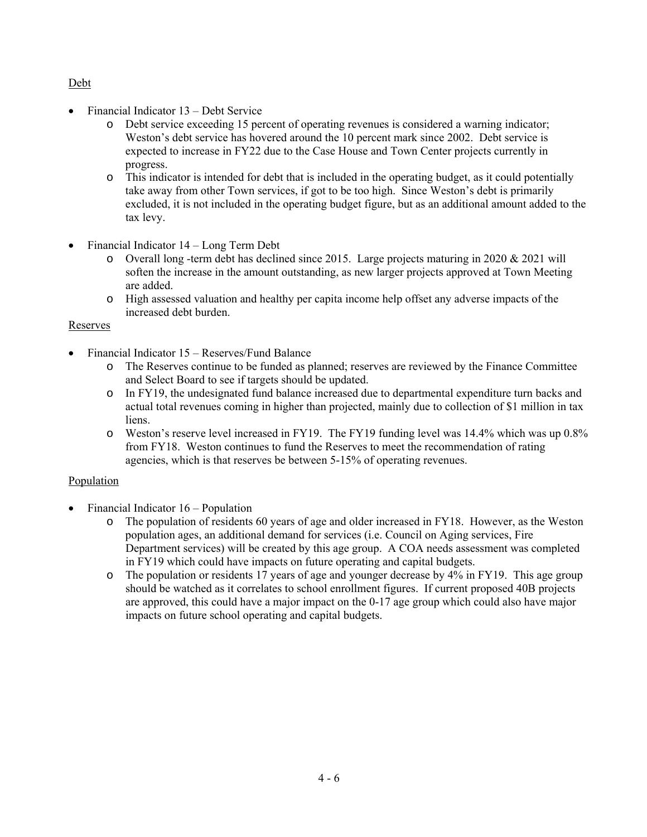### Debt

- Financial Indicator 13 Debt Service
	- o Debt service exceeding 15 percent of operating revenues is considered a warning indicator; Weston's debt service has hovered around the 10 percent mark since 2002. Debt service is expected to increase in FY22 due to the Case House and Town Center projects currently in progress.
	- o This indicator is intended for debt that is included in the operating budget, as it could potentially take away from other Town services, if got to be too high. Since Weston's debt is primarily excluded, it is not included in the operating budget figure, but as an additional amount added to the tax levy.
- Financial Indicator 14 Long Term Debt
	- $\circ$  Overall long -term debt has declined since 2015. Large projects maturing in 2020 & 2021 will soften the increase in the amount outstanding, as new larger projects approved at Town Meeting are added.
	- o High assessed valuation and healthy per capita income help offset any adverse impacts of the increased debt burden.

### Reserves

- Financial Indicator 15 Reserves/Fund Balance
	- o The Reserves continue to be funded as planned; reserves are reviewed by the Finance Committee and Select Board to see if targets should be updated.
	- o In FY19, the undesignated fund balance increased due to departmental expenditure turn backs and actual total revenues coming in higher than projected, mainly due to collection of \$1 million in tax liens.
	- o Weston's reserve level increased in FY19. The FY19 funding level was 14.4% which was up 0.8% from FY18. Weston continues to fund the Reserves to meet the recommendation of rating agencies, which is that reserves be between 5-15% of operating revenues.

# Population

- Financial Indicator  $16$  Population
	- The population of residents 60 years of age and older increased in FY18. However, as the Weston population ages, an additional demand for services (i.e. Council on Aging services, Fire Department services) will be created by this age group. A COA needs assessment was completed in FY19 which could have impacts on future operating and capital budgets.
	- o The population or residents 17 years of age and younger decrease by 4% in FY19. This age group should be watched as it correlates to school enrollment figures. If current proposed 40B projects are approved, this could have a major impact on the 0-17 age group which could also have major impacts on future school operating and capital budgets.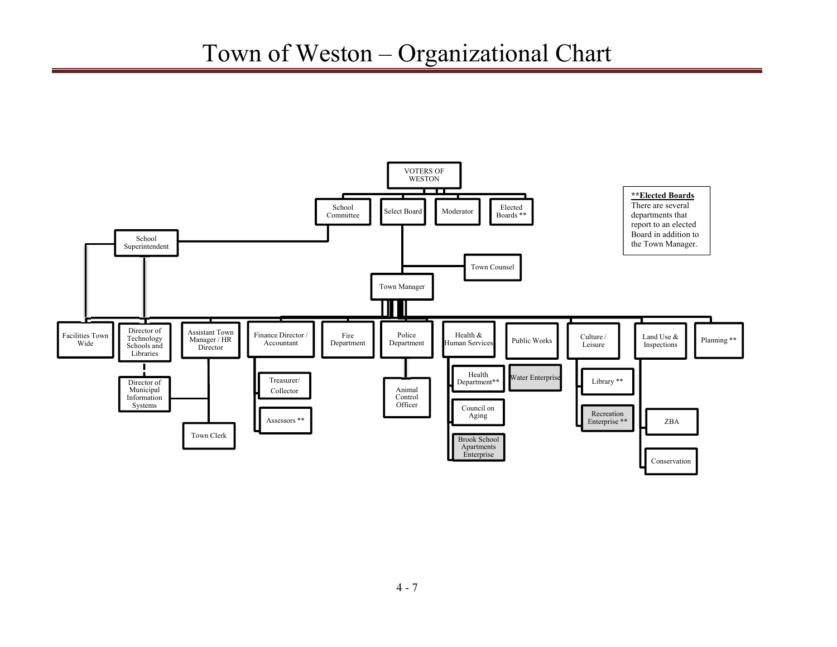# Town of Weston – Organizational Chart

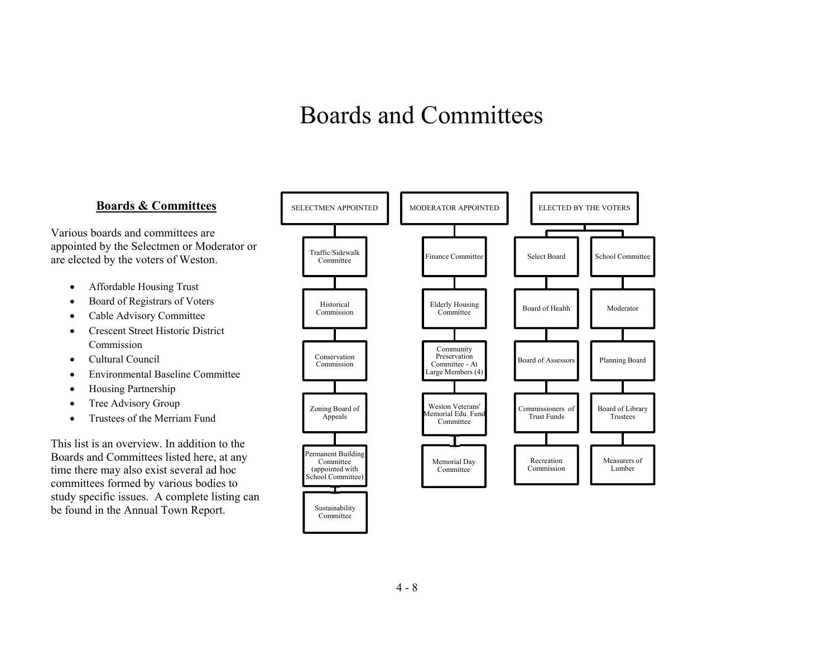# Boards and Committees

### **Boards & Committees**

Various boards and committees are appointed by the Selectmen or Moderator or are elected by the voters of Weston.

- $\bullet$ Affordable Housing Trust
- . Board of Registrars of Voters
- $\bullet$ Cable Advisory Committee
- $\bullet$  Crescent Street Historic District Commission
- $\bullet$ Cultural Council
- $\bullet$ Environmental Baseline Committee
- $\bullet$ Housing Partnership
- $\bullet$ Tree Advisory Group
- $\bullet$ Trustees of the Merriam Fund

This list is an overview. In addition to the Boards and Committees listed here, at any time there may also exist several ad hoc committees formed by various bodies to study specific issues. A complete listing can be found in the Annual Town Report.